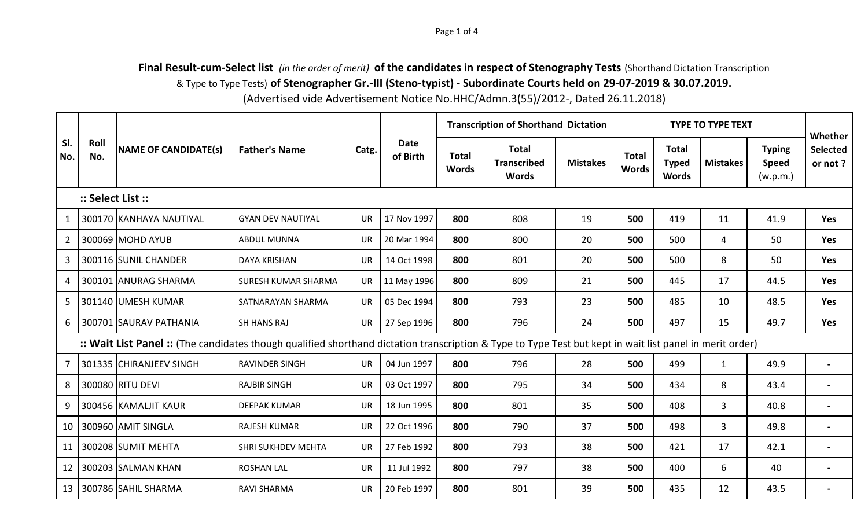## **Final Result-cum-Select list** *(in the order of merit)* **of the candidates in respect of Stenography Tests** (Shorthand Dictation Transcription & Type to Type Tests) **of Stenographer Gr.-III (Steno-typist) - Subordinate Courts held on 29-07-2019 & 30.07.2019.**

(Advertised vide Advertisement Notice No.HHC/Admn.3(55)/2012-, Dated 26.11.2018)

|                                                                                                                                                          |                   | <b>NAME OF CANDIDATE(s)</b> | <b>Father's Name</b>      | Catg.     | <b>Date</b><br>of Birth |                              | <b>Transcription of Shorthand Dictation</b>        |                 | <b>TYPE TO TYPE TEXT</b>     |                                              |                 |                                           |                                       |
|----------------------------------------------------------------------------------------------------------------------------------------------------------|-------------------|-----------------------------|---------------------------|-----------|-------------------------|------------------------------|----------------------------------------------------|-----------------|------------------------------|----------------------------------------------|-----------------|-------------------------------------------|---------------------------------------|
| SI.<br>No.                                                                                                                                               | Roll<br>No.       |                             |                           |           |                         | <b>Total</b><br><b>Words</b> | <b>Total</b><br><b>Transcribed</b><br><b>Words</b> | <b>Mistakes</b> | <b>Total</b><br><b>Words</b> | <b>Total</b><br><b>Typed</b><br><b>Words</b> | <b>Mistakes</b> | <b>Typing</b><br><b>Speed</b><br>(w.p.m.) | Whether<br><b>Selected</b><br>or not? |
|                                                                                                                                                          | :: Select List :: |                             |                           |           |                         |                              |                                                    |                 |                              |                                              |                 |                                           |                                       |
| 1                                                                                                                                                        |                   | 300170 KANHAYA NAUTIYAL     | <b>GYAN DEV NAUTIYAL</b>  | <b>UR</b> | 17 Nov 1997             | 800                          | 808                                                | 19              | 500                          | 419                                          | 11              | 41.9                                      | Yes                                   |
| $\mathbf{2}$                                                                                                                                             |                   | 300069 MOHD AYUB            | <b>ABDUL MUNNA</b>        | <b>UR</b> | 20 Mar 1994             | 800                          | 800                                                | 20              | 500                          | 500                                          | 4               | 50                                        | Yes                                   |
| 3                                                                                                                                                        |                   | 300116 SUNIL CHANDER        | <b>DAYA KRISHAN</b>       | <b>UR</b> | 14 Oct 1998             | 800                          | 801                                                | 20              | 500                          | 500                                          | 8               | 50                                        | Yes                                   |
| 4                                                                                                                                                        |                   | 300101 ANURAG SHARMA        | ISURESH KUMAR SHARMA      | <b>UR</b> | 11 May 1996             | 800                          | 809                                                | 21              | 500                          | 445                                          | 17              | 44.5                                      | <b>Yes</b>                            |
| 5.                                                                                                                                                       |                   | 301140 UMESH KUMAR          | <b>SATNARAYAN SHARMA</b>  | <b>UR</b> | 05 Dec 1994             | 800                          | 793                                                | 23              | 500                          | 485                                          | 10              | 48.5                                      | Yes                                   |
| 6                                                                                                                                                        |                   | 300701 SAURAV PATHANIA      | <b>SH HANS RAJ</b>        | <b>UR</b> | 27 Sep 1996             | 800                          | 796                                                | 24              | 500                          | 497                                          | 15              | 49.7                                      | Yes                                   |
| :: Wait List Panel :: (The candidates though qualified shorthand dictation transcription & Type to Type Test but kept in wait list panel in merit order) |                   |                             |                           |           |                         |                              |                                                    |                 |                              |                                              |                 |                                           |                                       |
| 7                                                                                                                                                        |                   | 301335 CHIRANJEEV SINGH     | <b>RAVINDER SINGH</b>     | <b>UR</b> | 04 Jun 1997             | 800                          | 796                                                | 28              | 500                          | 499                                          | $\mathbf{1}$    | 49.9                                      | $\sim$                                |
| 8                                                                                                                                                        |                   | 300080 RITU DEVI            | <b>RAJBIR SINGH</b>       | <b>UR</b> | 03 Oct 1997             | 800                          | 795                                                | 34              | 500                          | 434                                          | 8               | 43.4                                      | $\sim$                                |
| 9                                                                                                                                                        |                   | 300456 KAMALJIT KAUR        | <b>IDEEPAK KUMAR</b>      | <b>UR</b> | 18 Jun 1995             | 800                          | 801                                                | 35              | 500                          | 408                                          | $\mathbf{3}$    | 40.8                                      | $\blacksquare$                        |
| 10                                                                                                                                                       |                   | 300960 AMIT SINGLA          | <b>RAJESH KUMAR</b>       | <b>UR</b> | 22 Oct 1996             | 800                          | 790                                                | 37              | 500                          | 498                                          | $\mathbf{3}$    | 49.8                                      | $\blacksquare$                        |
| 11                                                                                                                                                       |                   | 300208 SUMIT MEHTA          | <b>SHRI SUKHDEV MEHTA</b> | <b>UR</b> | 27 Feb 1992             | 800                          | 793                                                | 38              | 500                          | 421                                          | 17              | 42.1                                      | $\sim$                                |
| 12                                                                                                                                                       |                   | 300203 SALMAN KHAN          | <b>ROSHAN LAL</b>         | <b>UR</b> | 11 Jul 1992             | 800                          | 797                                                | 38              | 500                          | 400                                          | 6               | 40                                        | $\sim$                                |
| 13 <sup>1</sup>                                                                                                                                          |                   | 300786 SAHIL SHARMA         | <b>RAVI SHARMA</b>        | <b>UR</b> | 20 Feb 1997             | 800                          | 801                                                | 39              | 500                          | 435                                          | 12              | 43.5                                      |                                       |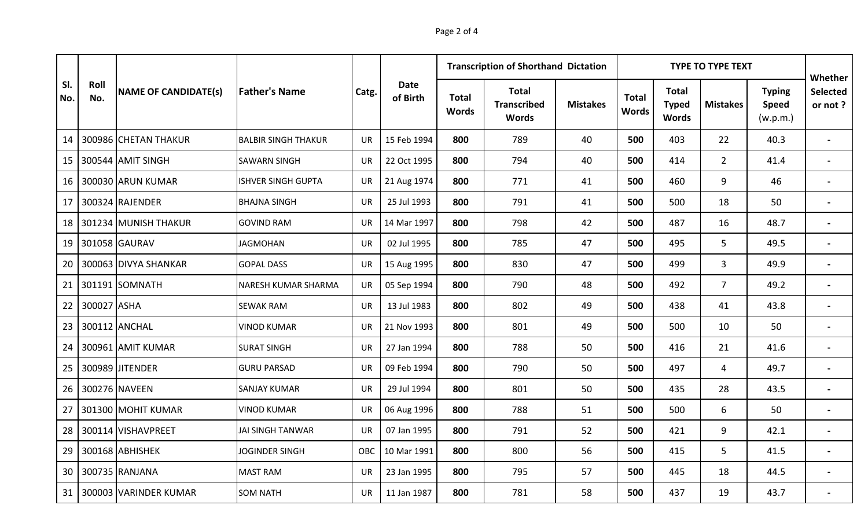|            | Roll<br>No. | <b>NAME OF CANDIDATE(s)</b> | <b>Father's Name</b>       |           | Date<br>of Birth |                              | <b>Transcription of Shorthand Dictation</b>        |                 |                              | <b>TYPE TO TYPE TEXT</b>                     | Whether         |                                           |                     |
|------------|-------------|-----------------------------|----------------------------|-----------|------------------|------------------------------|----------------------------------------------------|-----------------|------------------------------|----------------------------------------------|-----------------|-------------------------------------------|---------------------|
| SI.<br>No. |             |                             |                            | Catg.     |                  | <b>Total</b><br><b>Words</b> | <b>Total</b><br><b>Transcribed</b><br><b>Words</b> | <b>Mistakes</b> | <b>Total</b><br><b>Words</b> | <b>Total</b><br><b>Typed</b><br><b>Words</b> | <b>Mistakes</b> | <b>Typing</b><br><b>Speed</b><br>(w.p.m.) | Selected<br>or not? |
| 14         |             | 300986 CHETAN THAKUR        | <b>BALBIR SINGH THAKUR</b> | <b>UR</b> | 15 Feb 1994      | 800                          | 789                                                | 40              | 500                          | 403                                          | 22              | 40.3                                      | $\blacksquare$      |
| 15         |             | 300544 AMIT SINGH           | <b>SAWARN SINGH</b>        | <b>UR</b> | 22 Oct 1995      | 800                          | 794                                                | 40              | 500                          | 414                                          | $\overline{2}$  | 41.4                                      | $\blacksquare$      |
| 16         |             | 300030 ARUN KUMAR           | <b>ISHVER SINGH GUPTA</b>  | <b>UR</b> | 21 Aug 1974      | 800                          | 771                                                | 41              | 500                          | 460                                          | 9               | 46                                        | $\blacksquare$      |
| 17         |             | 300324 RAJENDER             | <b>BHAJNA SINGH</b>        | <b>UR</b> | 25 Jul 1993      | 800                          | 791                                                | 41              | 500                          | 500                                          | 18              | 50                                        | $\blacksquare$      |
| 18         |             | 301234 MUNISH THAKUR        | <b>GOVIND RAM</b>          | <b>UR</b> | 14 Mar 1997      | 800                          | 798                                                | 42              | 500                          | 487                                          | 16              | 48.7                                      | $\blacksquare$      |
| 19         |             | 301058 GAURAV               | <b>JAGMOHAN</b>            | <b>UR</b> | 02 Jul 1995      | 800                          | 785                                                | 47              | 500                          | 495                                          | 5               | 49.5                                      | $\blacksquare$      |
| 20         |             | 300063 DIVYA SHANKAR        | <b>GOPAL DASS</b>          | <b>UR</b> | 15 Aug 1995      | 800                          | 830                                                | 47              | 500                          | 499                                          | 3               | 49.9                                      | $\blacksquare$      |
| 21         |             | 301191 SOMNATH              | NARESH KUMAR SHARMA        | <b>UR</b> | 05 Sep 1994      | 800                          | 790                                                | 48              | 500                          | 492                                          | $\overline{7}$  | 49.2                                      | $\blacksquare$      |
| 22         | 300027 ASHA |                             | <b>SEWAK RAM</b>           | <b>UR</b> | 13 Jul 1983      | 800                          | 802                                                | 49              | 500                          | 438                                          | 41              | 43.8                                      | $\blacksquare$      |
| 23         |             | 300112 ANCHAL               | <b>VINOD KUMAR</b>         | <b>UR</b> | 21 Nov 1993      | 800                          | 801                                                | 49              | 500                          | 500                                          | 10              | 50                                        | $\blacksquare$      |
| 24         |             | 300961 AMIT KUMAR           | <b>SURAT SINGH</b>         | <b>UR</b> | 27 Jan 1994      | 800                          | 788                                                | 50              | 500                          | 416                                          | 21              | 41.6                                      | $\blacksquare$      |
| 25         |             | 300989 JITENDER             | <b>GURU PARSAD</b>         | <b>UR</b> | 09 Feb 1994      | 800                          | 790                                                | 50              | 500                          | 497                                          | $\overline{4}$  | 49.7                                      | $\blacksquare$      |
| 26         |             | 300276 NAVEEN               | <b>SANJAY KUMAR</b>        | <b>UR</b> | 29 Jul 1994      | 800                          | 801                                                | 50              | 500                          | 435                                          | 28              | 43.5                                      | $\blacksquare$      |
| 27         |             | 301300 MOHIT KUMAR          | <b>VINOD KUMAR</b>         | UR        | 06 Aug 1996      | 800                          | 788                                                | 51              | 500                          | 500                                          | 6               | 50                                        | $\blacksquare$      |
| 28         |             | 300114 VISHAVPREET          | JAI SINGH TANWAR           | <b>UR</b> | 07 Jan 1995      | 800                          | 791                                                | 52              | 500                          | 421                                          | 9               | 42.1                                      | $\blacksquare$      |
| 29         |             | 300168 ABHISHEK             | <b>JOGINDER SINGH</b>      | OBC.      | 10 Mar 1991      | 800                          | 800                                                | 56              | 500                          | 415                                          | 5               | 41.5                                      | $\blacksquare$      |
| 30         |             | 300735 RANJANA              | <b>MAST RAM</b>            | <b>UR</b> | 23 Jan 1995      | 800                          | 795                                                | 57              | 500                          | 445                                          | 18              | 44.5                                      | $\blacksquare$      |
| 31         |             | 300003 VARINDER KUMAR       | <b>SOM NATH</b>            | <b>UR</b> | 11 Jan 1987      | 800                          | 781                                                | 58              | 500                          | 437                                          | 19              | 43.7                                      |                     |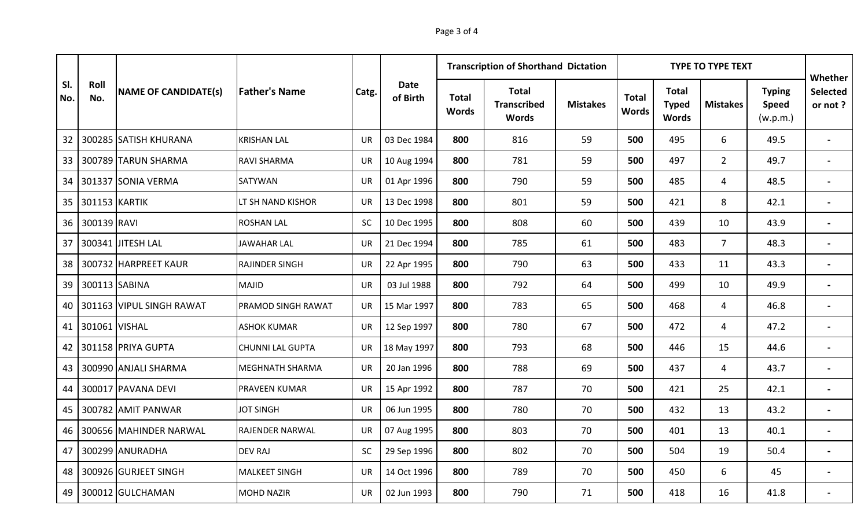|                 |               | <b>NAME OF CANDIDATE(s)</b> | <b>Father's Name</b>    |           | Date<br>of Birth |                              | <b>Transcription of Shorthand Dictation</b>        |                 |                              | <b>TYPE TO TYPE TEXT</b>                     | Whether         |                                           |                     |
|-----------------|---------------|-----------------------------|-------------------------|-----------|------------------|------------------------------|----------------------------------------------------|-----------------|------------------------------|----------------------------------------------|-----------------|-------------------------------------------|---------------------|
| SI.<br>No.      | Roll<br>No.   |                             |                         | Catg.     |                  | <b>Total</b><br><b>Words</b> | <b>Total</b><br><b>Transcribed</b><br><b>Words</b> | <b>Mistakes</b> | <b>Total</b><br><b>Words</b> | <b>Total</b><br><b>Typed</b><br><b>Words</b> | <b>Mistakes</b> | <b>Typing</b><br><b>Speed</b><br>(w.p.m.) | Selected<br>or not? |
| 32 <sup>2</sup> |               | 300285 SATISH KHURANA       | <b>KRISHAN LAL</b>      | <b>UR</b> | 03 Dec 1984      | 800                          | 816                                                | 59              | 500                          | 495                                          | 6               | 49.5                                      | $\blacksquare$      |
| 33              |               | 300789 TARUN SHARMA         | <b>RAVI SHARMA</b>      | <b>UR</b> | 10 Aug 1994      | 800                          | 781                                                | 59              | 500                          | 497                                          | $\overline{2}$  | 49.7                                      | $\blacksquare$      |
| 34              |               | 301337 SONIA VERMA          | <b>SATYWAN</b>          | <b>UR</b> | 01 Apr 1996      | 800                          | 790                                                | 59              | 500                          | 485                                          | 4               | 48.5                                      | $\blacksquare$      |
| 35              | 301153 KARTIK |                             | LT SH NAND KISHOR       | <b>UR</b> | 13 Dec 1998      | 800                          | 801                                                | 59              | 500                          | 421                                          | 8               | 42.1                                      | $\blacksquare$      |
| 36              | 300139 RAVI   |                             | <b>ROSHAN LAL</b>       | <b>SC</b> | 10 Dec 1995      | 800                          | 808                                                | 60              | 500                          | 439                                          | 10              | 43.9                                      | $\blacksquare$      |
| 37              |               | 300341 JITESH LAL           | <b>JAWAHAR LAL</b>      | <b>UR</b> | 21 Dec 1994      | 800                          | 785                                                | 61              | 500                          | 483                                          | $\overline{7}$  | 48.3                                      | $\blacksquare$      |
| 38              |               | 300732 HARPREET KAUR        | <b>RAJINDER SINGH</b>   | <b>UR</b> | 22 Apr 1995      | 800                          | 790                                                | 63              | 500                          | 433                                          | 11              | 43.3                                      | $\blacksquare$      |
| 39              |               | 300113 SABINA               | <b>MAJID</b>            | <b>UR</b> | 03 Jul 1988      | 800                          | 792                                                | 64              | 500                          | 499                                          | 10              | 49.9                                      | $\blacksquare$      |
| 40              |               | 301163 VIPUL SINGH RAWAT    | PRAMOD SINGH RAWAT      | <b>UR</b> | 15 Mar 1997      | 800                          | 783                                                | 65              | 500                          | 468                                          | $\overline{4}$  | 46.8                                      | $\blacksquare$      |
| 41              | 301061 VISHAL |                             | <b>ASHOK KUMAR</b>      | <b>UR</b> | 12 Sep 1997      | 800                          | 780                                                | 67              | 500                          | 472                                          | 4               | 47.2                                      | $\blacksquare$      |
| 42              |               | 301158 PRIYA GUPTA          | <b>CHUNNI LAL GUPTA</b> | <b>UR</b> | 18 May 1997      | 800                          | 793                                                | 68              | 500                          | 446                                          | 15              | 44.6                                      | $\blacksquare$      |
| 43              |               | 300990 ANJALI SHARMA        | MEGHNATH SHARMA         | <b>UR</b> | 20 Jan 1996      | 800                          | 788                                                | 69              | 500                          | 437                                          | $\overline{4}$  | 43.7                                      | $\sim$              |
| 44              |               | 300017 PAVANA DEVI          | <b>PRAVEEN KUMAR</b>    | <b>UR</b> | 15 Apr 1992      | 800                          | 787                                                | 70              | 500                          | 421                                          | 25              | 42.1                                      | $\sim$              |
| 45              |               | 300782 AMIT PANWAR          | <b>JOT SINGH</b>        | <b>UR</b> | 06 Jun 1995      | 800                          | 780                                                | 70              | 500                          | 432                                          | 13              | 43.2                                      | $\blacksquare$      |
| 46              |               | 300656 MAHINDER NARWAL      | RAJENDER NARWAL         | <b>UR</b> | 07 Aug 1995      | 800                          | 803                                                | 70              | 500                          | 401                                          | 13              | 40.1                                      | $\blacksquare$      |
| 47              |               | 300299 ANURADHA             | <b>DEV RAJ</b>          | <b>SC</b> | 29 Sep 1996      | 800                          | 802                                                | 70              | 500                          | 504                                          | 19              | 50.4                                      | $\blacksquare$      |
| 48              |               | 300926 GURJEET SINGH        | <b>MALKEET SINGH</b>    | <b>UR</b> | 14 Oct 1996      | 800                          | 789                                                | 70              | 500                          | 450                                          | 6               | 45                                        | $\blacksquare$      |
| 49              |               | 300012 GULCHAMAN            | <b>MOHD NAZIR</b>       | <b>UR</b> | 02 Jun 1993      | 800                          | 790                                                | 71              | 500                          | 418                                          | 16              | 41.8                                      |                     |